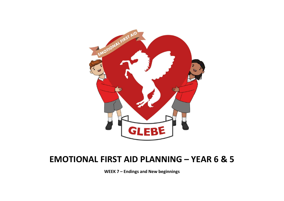

# EMOTIONAL FIRST AID PLANNING – YEAR 6 & 5

WEEK 7 – Endings and New beginnings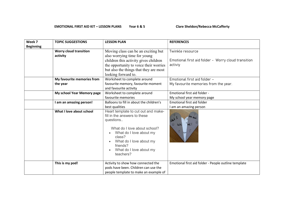## EMOTIONAL FIRST AID KIT – LESSON PLANS Year 6 & 5 Clare Sheldon/Rebecca McCafferty

| Week 7           | <b>TOPIC SUGGESTIONS</b>      | <b>LESSON PLAN</b>                                                                                                                                                                                                                   | <b>REFERENCES</b>                                    |
|------------------|-------------------------------|--------------------------------------------------------------------------------------------------------------------------------------------------------------------------------------------------------------------------------------|------------------------------------------------------|
| <b>Beginning</b> |                               |                                                                                                                                                                                                                                      |                                                      |
|                  | <b>Worry cloud transition</b> | Moving class can be an exciting but                                                                                                                                                                                                  | Twinkle resource                                     |
|                  | activity                      | also worrying time for young                                                                                                                                                                                                         |                                                      |
|                  |                               | children this activity gives children                                                                                                                                                                                                | Emotional first aid folder - Worry cloud transition  |
|                  |                               | the opportunity to voice their worries                                                                                                                                                                                               | activiy                                              |
|                  |                               | but also the things that they are most                                                                                                                                                                                               |                                                      |
|                  |                               | looking forward to.                                                                                                                                                                                                                  |                                                      |
|                  | My favourite memories from    | Worksheet to complete around                                                                                                                                                                                                         | Emotional first aid folder -                         |
|                  | the year                      | favourite memory, favourite moment                                                                                                                                                                                                   | My favourite memories from the year.                 |
|                  |                               | and favourite activity                                                                                                                                                                                                               |                                                      |
|                  | My school Year Memory page    | Worksheet to complete around                                                                                                                                                                                                         | Emotional first aid folder -                         |
|                  |                               | favourite memories                                                                                                                                                                                                                   | My school year memory page                           |
|                  | I am an amazing person!       | Balloons to fill in about the children's                                                                                                                                                                                             | Emotional first aid folder                           |
|                  |                               | best qualities                                                                                                                                                                                                                       | I am an amazing person                               |
|                  | What I love about school      | Heart template to cut out and make-<br>fill in the answers to these<br>questions<br>What do I love about school?<br>What do I love about my<br>class?<br>What do I love about my<br>friends?<br>What do I love about my<br>teachers? | 5ch<br>reaq                                          |
|                  | This is my pod!               | Activity to show how connected the<br>pods have been. Children can use the<br>people template to make an example of                                                                                                                  | Emotional first aid folder - People outline template |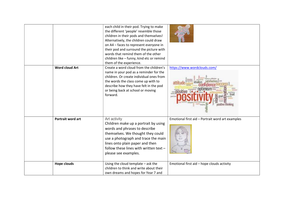|                       | each child in their pod. Trying to make<br>the different 'people' resemble those<br>children in their pods and themselves!<br>Alternatively, the children could draw<br>on A4 - faces to represent everyone in<br>their pod and surround the picture with<br>words that remind them of the other<br>children like - funny, kind etc or remind<br>them of the experience. |                                                  |
|-----------------------|--------------------------------------------------------------------------------------------------------------------------------------------------------------------------------------------------------------------------------------------------------------------------------------------------------------------------------------------------------------------------|--------------------------------------------------|
| <b>Word cloud Art</b> | Create a word cloud from the children's<br>name in your pod as a reminder for the<br>children. Or create individual ones from<br>the words the class come up with to<br>describe how they have felt in the pod<br>or being back at school or moving<br>forward.                                                                                                          | https://www.wordclouds.com/                      |
| Portrait word art     | Art activity<br>Children make up a portrait by using<br>words and phrases to describe<br>themselves. We thought they could<br>use a photograph and trace the main<br>lines onto plain paper and then<br>follow these lines with written text -<br>please see examples.                                                                                                   | Emotional first aid - Portrait word art examples |
| <b>Hope clouds</b>    | Using the cloud template - ask the<br>children to think and write about their<br>own dreams and hopes for Year 7 and                                                                                                                                                                                                                                                     | Emotional first aid - hope clouds activity       |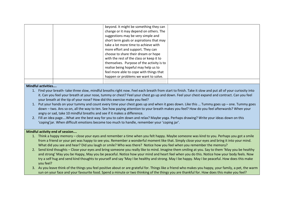|  | beyond. It might be something they can    |  |
|--|-------------------------------------------|--|
|  | change or it may depend on others. The    |  |
|  | suggestions may be very simple and        |  |
|  | short term goals or aspirations that may  |  |
|  | take a lot more time to achieve with      |  |
|  | more effort and support. They can         |  |
|  | choose to share their dream or hope       |  |
|  | with the rest of the class or keep it to  |  |
|  | themselves. Purpose of the activity is to |  |
|  | realise being hopeful may help us to      |  |
|  | feel more able to cope with things that   |  |
|  | happen or problems we want to solve.      |  |
|  |                                           |  |
|  |                                           |  |

#### Mindful activities….

- 1. Find your breath- take three slow, mindful breaths right now. Feel each breath from start to finish. Take it slow and put all of your curiosity into it. Can you feel your breath at your nose, tummy or chest? Feel your chest go up and down. Feel your chest expand and contract. Can you feel your breath at the tip of your nose? How did this exercise make you feel?
- 1. Put your hands on your tummy and count every time your chest goes up and when it goes down. Like this … Tummy goes up one. Tummy goes down – two. Ans so on, all the way to ten. See how paying attention to your breath makes you feel? How do you feel afterwards? When your angry or sad, take 10 mindful breaths and see if it makes a difference.
- 2. Fill an idea page….What are the best way for you to calm down and relax? Maybe yoga. Perhaps drawing? Write your ideas down on this 'coping'jar. When difficult emotions become too much to handle, remember your 'coping jar'.

#### Mindful activity end of session….

- 1. Think a happy memory close your eyes and remember a time when you felt happy. Maybe someone was kind to you. Perhaps you got a smile from a friend or your pet was happy to see you. Remember a wonderful moment like that. Simply close your eyes and bring it into your mind. What did you see and hear? Did you laugh or smile? Who was there? Notice how you feel when you remember the memory?
- 2. Send kind thoughts Close your eyes and bring someone you really like to mind. Imagine them smiling at you. Say to them 'May you be healthy and strong' May you be Happy, May you be peaceful. Notice how your mind and heart feel when you do this. Notice how your body feels. Now try a self hug and send kind thoughts to yourself and say 'May I be healthy and strong. May I be happy. May I be peaceful. How does this make you feel?
- 3. As you leave think of the things you feel positive about or are grateful for. Things like a friend who makes you happy, your family, a pet, the warm sun on your face and your favourite food. Spend a minute or two thinking of the things you are thankful for. How does this make you feel?